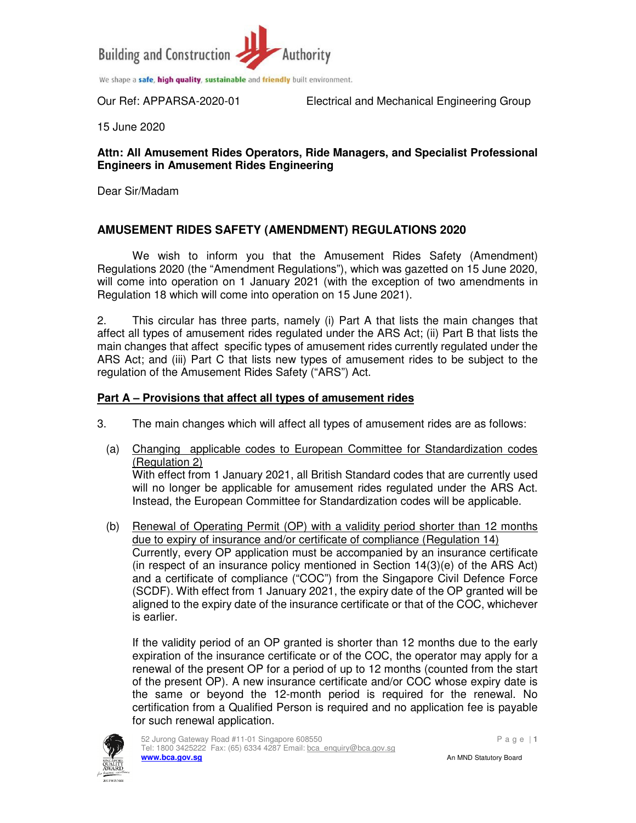

Our Ref: APPARSA-2020-01 Electrical and Mechanical Engineering Group

15 June 2020

#### **Attn: All Amusement Rides Operators, Ride Managers, and Specialist Professional Engineers in Amusement Rides Engineering**

Dear Sir/Madam

### **AMUSEMENT RIDES SAFETY (AMENDMENT) REGULATIONS 2020**

We wish to inform you that the Amusement Rides Safety (Amendment) Regulations 2020 (the "Amendment Regulations"), which was gazetted on 15 June 2020, will come into operation on 1 January 2021 (with the exception of two amendments in Regulation 18 which will come into operation on 15 June 2021).

2. This circular has three parts, namely (i) Part A that lists the main changes that affect all types of amusement rides regulated under the ARS Act; (ii) Part B that lists the main changes that affect specific types of amusement rides currently regulated under the ARS Act; and (iii) Part C that lists new types of amusement rides to be subject to the regulation of the Amusement Rides Safety ("ARS") Act.

#### **Part A – Provisions that affect all types of amusement rides**

- 3. The main changes which will affect all types of amusement rides are as follows:
	- (a) Changing applicable codes to European Committee for Standardization codes (Regulation 2)

With effect from 1 January 2021, all British Standard codes that are currently used will no longer be applicable for amusement rides regulated under the ARS Act. Instead, the European Committee for Standardization codes will be applicable.

(b) Renewal of Operating Permit (OP) with a validity period shorter than 12 months due to expiry of insurance and/or certificate of compliance (Regulation 14) Currently, every OP application must be accompanied by an insurance certificate (in respect of an insurance policy mentioned in Section 14(3)(e) of the ARS Act) and a certificate of compliance ("COC") from the Singapore Civil Defence Force (SCDF). With effect from 1 January 2021, the expiry date of the OP granted will be aligned to the expiry date of the insurance certificate or that of the COC, whichever is earlier.

If the validity period of an OP granted is shorter than 12 months due to the early expiration of the insurance certificate or of the COC, the operator may apply for a renewal of the present OP for a period of up to 12 months (counted from the start of the present OP). A new insurance certificate and/or COC whose expiry date is the same or beyond the 12-month period is required for the renewal. No certification from a Qualified Person is required and no application fee is payable for such renewal application.

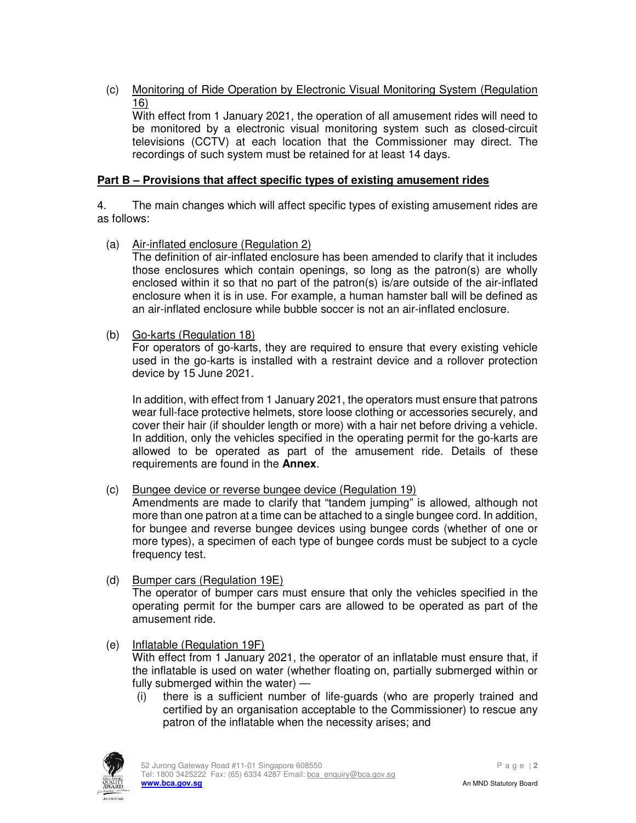(c) Monitoring of Ride Operation by Electronic Visual Monitoring System (Regulation 16)

With effect from 1 January 2021, the operation of all amusement rides will need to be monitored by a electronic visual monitoring system such as closed-circuit televisions (CCTV) at each location that the Commissioner may direct. The recordings of such system must be retained for at least 14 days.

### **Part B – Provisions that affect specific types of existing amusement rides**

4. The main changes which will affect specific types of existing amusement rides are as follows:

(a) Air-inflated enclosure (Regulation 2)

The definition of air-inflated enclosure has been amended to clarify that it includes those enclosures which contain openings, so long as the patron(s) are wholly enclosed within it so that no part of the patron(s) is/are outside of the air-inflated enclosure when it is in use. For example, a human hamster ball will be defined as an air-inflated enclosure while bubble soccer is not an air-inflated enclosure.

(b) Go-karts (Regulation 18)

For operators of go-karts, they are required to ensure that every existing vehicle used in the go-karts is installed with a restraint device and a rollover protection device by 15 June 2021.

In addition, with effect from 1 January 2021, the operators must ensure that patrons wear full-face protective helmets, store loose clothing or accessories securely, and cover their hair (if shoulder length or more) with a hair net before driving a vehicle. In addition, only the vehicles specified in the operating permit for the go-karts are allowed to be operated as part of the amusement ride. Details of these requirements are found in the **Annex**.

(c) Bungee device or reverse bungee device (Regulation 19)

Amendments are made to clarify that "tandem jumping" is allowed, although not more than one patron at a time can be attached to a single bungee cord. In addition, for bungee and reverse bungee devices using bungee cords (whether of one or more types), a specimen of each type of bungee cords must be subject to a cycle frequency test.

- (d) Bumper cars (Regulation 19E) The operator of bumper cars must ensure that only the vehicles specified in the operating permit for the bumper cars are allowed to be operated as part of the amusement ride.
- (e) Inflatable (Regulation 19F) With effect from 1 January 2021, the operator of an inflatable must ensure that, if the inflatable is used on water (whether floating on, partially submerged within or fully submerged within the water) —
	- (i) there is a sufficient number of life-guards (who are properly trained and certified by an organisation acceptable to the Commissioner) to rescue any patron of the inflatable when the necessity arises; and

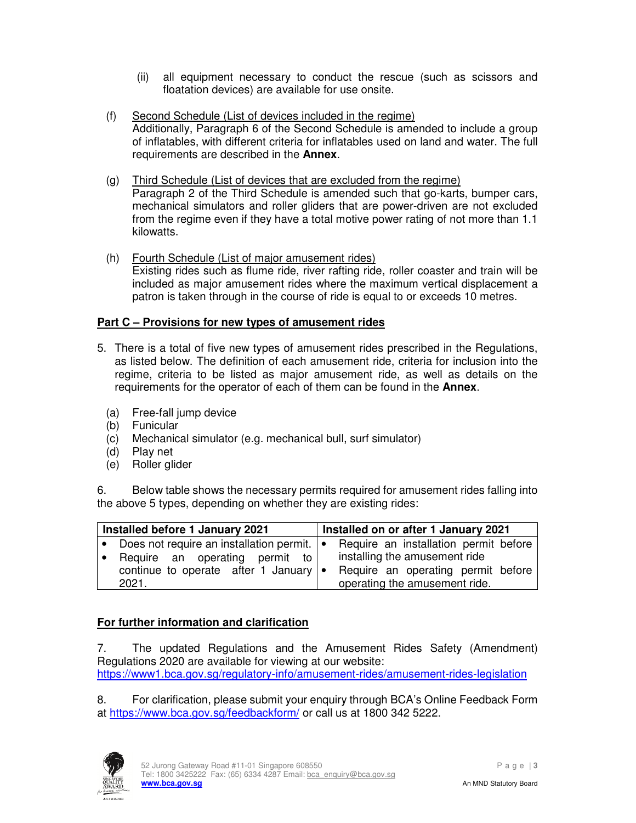- (ii) all equipment necessary to conduct the rescue (such as scissors and floatation devices) are available for use onsite.
- (f) Second Schedule (List of devices included in the regime) Additionally, Paragraph 6 of the Second Schedule is amended to include a group of inflatables, with different criteria for inflatables used on land and water. The full requirements are described in the **Annex**.
- (g) Third Schedule (List of devices that are excluded from the regime) Paragraph 2 of the Third Schedule is amended such that go-karts, bumper cars, mechanical simulators and roller gliders that are power-driven are not excluded from the regime even if they have a total motive power rating of not more than 1.1 kilowatts.
- (h) Fourth Schedule (List of major amusement rides) Existing rides such as flume ride, river rafting ride, roller coaster and train will be included as major amusement rides where the maximum vertical displacement a patron is taken through in the course of ride is equal to or exceeds 10 metres.

# **Part C – Provisions for new types of amusement rides**

- 5. There is a total of five new types of amusement rides prescribed in the Regulations, as listed below. The definition of each amusement ride, criteria for inclusion into the regime, criteria to be listed as major amusement ride, as well as details on the requirements for the operator of each of them can be found in the **Annex**.
	- (a) Free-fall jump device
	- (b) Funicular
	- (c) Mechanical simulator (e.g. mechanical bull, surf simulator)
	- (d) Play net
	- (e) Roller glider

6. Below table shows the necessary permits required for amusement rides falling into the above 5 types, depending on whether they are existing rides:

| Installed before 1 January 2021 |                                                |  | Installed on or after 1 January 2021  |
|---------------------------------|------------------------------------------------|--|---------------------------------------|
|                                 | • Does not require an installation permit.   • |  | Require an installation permit before |
|                                 | Require an operating permit to                 |  | installing the amusement ride         |
|                                 | continue to operate after 1 January $\cdot$    |  | Require an operating permit before    |
|                                 | 2021.                                          |  | operating the amusement ride.         |

# **For further information and clarification**

7. The updated Regulations and the Amusement Rides Safety (Amendment) Regulations 2020 are available for viewing at our website: https://www1.bca.gov.sg/regulatory-info/amusement-rides/amusement-rides-legislation

8. For clarification, please submit your enquiry through BCA's Online Feedback Form at https://www.bca.gov.sg/feedbackform/ or call us at 1800 342 5222.

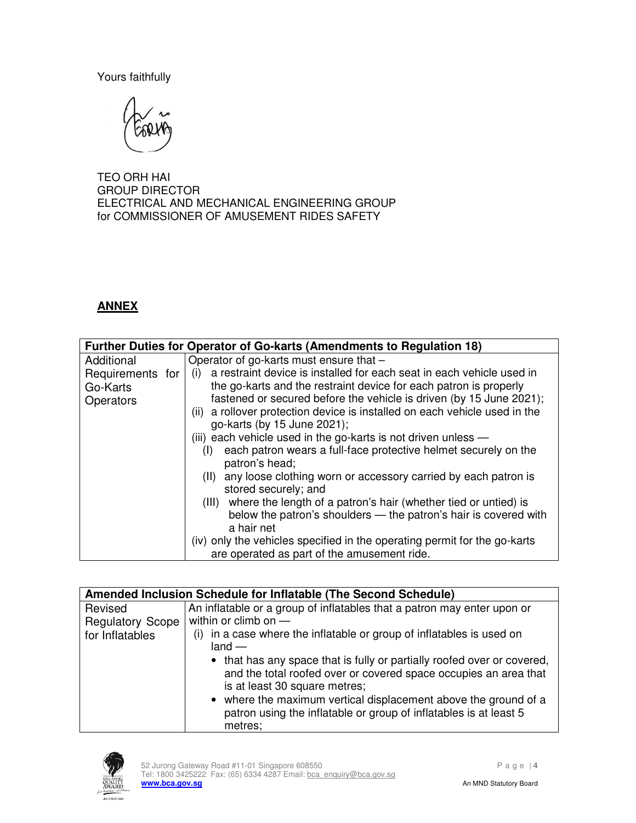Yours faithfully



TEO ORH HAI GROUP DIRECTOR ELECTRICAL AND MECHANICAL ENGINEERING GROUP for COMMISSIONER OF AMUSEMENT RIDES SAFETY

# **ANNEX**

|                                           | <b>Further Duties for Operator of Go-karts (Amendments to Regulation 18)</b>                                                                                                                                                                                                                                                                                                                                                                                                                                                                                                                                                                                                                                                                                                                                                                                                                |
|-------------------------------------------|---------------------------------------------------------------------------------------------------------------------------------------------------------------------------------------------------------------------------------------------------------------------------------------------------------------------------------------------------------------------------------------------------------------------------------------------------------------------------------------------------------------------------------------------------------------------------------------------------------------------------------------------------------------------------------------------------------------------------------------------------------------------------------------------------------------------------------------------------------------------------------------------|
| Additional                                | Operator of go-karts must ensure that -                                                                                                                                                                                                                                                                                                                                                                                                                                                                                                                                                                                                                                                                                                                                                                                                                                                     |
| Requirements for<br>Go-Karts<br>Operators | a restraint device is installed for each seat in each vehicle used in<br>(i)<br>the go-karts and the restraint device for each patron is properly<br>fastened or secured before the vehicle is driven (by 15 June 2021);<br>(ii) a rollover protection device is installed on each vehicle used in the<br>go-karts (by 15 June 2021);<br>(iii) each vehicle used in the go-karts is not driven unless $-$<br>each patron wears a full-face protective helmet securely on the<br>(1)<br>patron's head;<br>(II) any loose clothing worn or accessory carried by each patron is<br>stored securely; and<br>(III) where the length of a patron's hair (whether tied or untied) is<br>below the patron's shoulders - the patron's hair is covered with<br>a hair net<br>(iv) only the vehicles specified in the operating permit for the go-karts<br>are operated as part of the amusement ride. |

| Amended Inclusion Schedule for Inflatable (The Second Schedule) |                                                                                                                                                                                                                                                                                                                                 |  |
|-----------------------------------------------------------------|---------------------------------------------------------------------------------------------------------------------------------------------------------------------------------------------------------------------------------------------------------------------------------------------------------------------------------|--|
| Revised                                                         | An inflatable or a group of inflatables that a patron may enter upon or                                                                                                                                                                                                                                                         |  |
| <b>Regulatory Scope</b>                                         | within or climb on $-$                                                                                                                                                                                                                                                                                                          |  |
| for Inflatables                                                 | in a case where the inflatable or group of inflatables is used on<br>(i)<br>$land -$                                                                                                                                                                                                                                            |  |
|                                                                 | • that has any space that is fully or partially roofed over or covered,<br>and the total roofed over or covered space occupies an area that<br>is at least 30 square metres;<br>• where the maximum vertical displacement above the ground of a<br>patron using the inflatable or group of inflatables is at least 5<br>metres; |  |

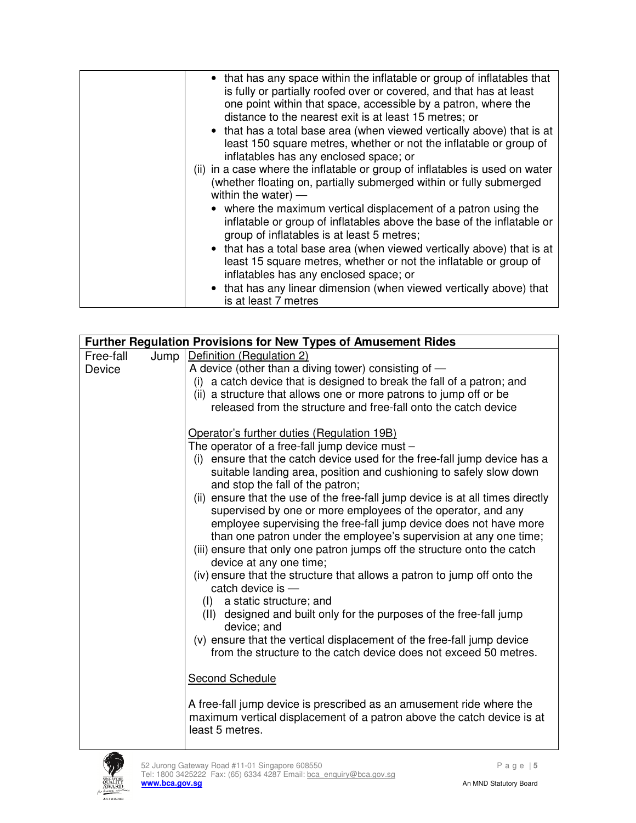| • that has any space within the inflatable or group of inflatables that<br>is fully or partially roofed over or covered, and that has at least<br>one point within that space, accessible by a patron, where the<br>distance to the nearest exit is at least 15 metres; or<br>• that has a total base area (when viewed vertically above) that is at<br>least 150 square metres, whether or not the inflatable or group of<br>inflatables has any enclosed space; or<br>(ii) in a case where the inflatable or group of inflatables is used on water<br>(whether floating on, partially submerged within or fully submerged<br>within the water) $-$ |
|------------------------------------------------------------------------------------------------------------------------------------------------------------------------------------------------------------------------------------------------------------------------------------------------------------------------------------------------------------------------------------------------------------------------------------------------------------------------------------------------------------------------------------------------------------------------------------------------------------------------------------------------------|
| • where the maximum vertical displacement of a patron using the<br>inflatable or group of inflatables above the base of the inflatable or<br>group of inflatables is at least 5 metres;                                                                                                                                                                                                                                                                                                                                                                                                                                                              |
| • that has a total base area (when viewed vertically above) that is at<br>least 15 square metres, whether or not the inflatable or group of<br>inflatables has any enclosed space; or                                                                                                                                                                                                                                                                                                                                                                                                                                                                |
| • that has any linear dimension (when viewed vertically above) that<br>is at least 7 metres                                                                                                                                                                                                                                                                                                                                                                                                                                                                                                                                                          |

| <b>Further Regulation Provisions for New Types of Amusement Rides</b> |      |                                                                                                                                                                   |
|-----------------------------------------------------------------------|------|-------------------------------------------------------------------------------------------------------------------------------------------------------------------|
| Free-fall                                                             | Jump | Definition (Regulation 2)                                                                                                                                         |
| Device                                                                |      | A device (other than a diving tower) consisting of $-$                                                                                                            |
|                                                                       |      | (i) a catch device that is designed to break the fall of a patron; and                                                                                            |
|                                                                       |      | (ii) a structure that allows one or more patrons to jump off or be                                                                                                |
|                                                                       |      | released from the structure and free-fall onto the catch device                                                                                                   |
|                                                                       |      | Operator's further duties (Regulation 19B)                                                                                                                        |
|                                                                       |      | The operator of a free-fall jump device must -                                                                                                                    |
|                                                                       |      | (i) ensure that the catch device used for the free-fall jump device has a                                                                                         |
|                                                                       |      | suitable landing area, position and cushioning to safely slow down<br>and stop the fall of the patron;                                                            |
|                                                                       |      | (ii) ensure that the use of the free-fall jump device is at all times directly                                                                                    |
|                                                                       |      | supervised by one or more employees of the operator, and any                                                                                                      |
|                                                                       |      | employee supervising the free-fall jump device does not have more                                                                                                 |
|                                                                       |      | than one patron under the employee's supervision at any one time;                                                                                                 |
|                                                                       |      | (iii) ensure that only one patron jumps off the structure onto the catch                                                                                          |
|                                                                       |      | device at any one time;                                                                                                                                           |
|                                                                       |      | (iv) ensure that the structure that allows a patron to jump off onto the                                                                                          |
|                                                                       |      | catch device is $-$                                                                                                                                               |
|                                                                       |      | (I) a static structure; and                                                                                                                                       |
|                                                                       |      | (II) designed and built only for the purposes of the free-fall jump<br>device; and                                                                                |
|                                                                       |      | (v) ensure that the vertical displacement of the free-fall jump device                                                                                            |
|                                                                       |      | from the structure to the catch device does not exceed 50 metres.                                                                                                 |
|                                                                       |      | <b>Second Schedule</b>                                                                                                                                            |
|                                                                       |      | A free-fall jump device is prescribed as an amusement ride where the<br>maximum vertical displacement of a patron above the catch device is at<br>least 5 metres. |

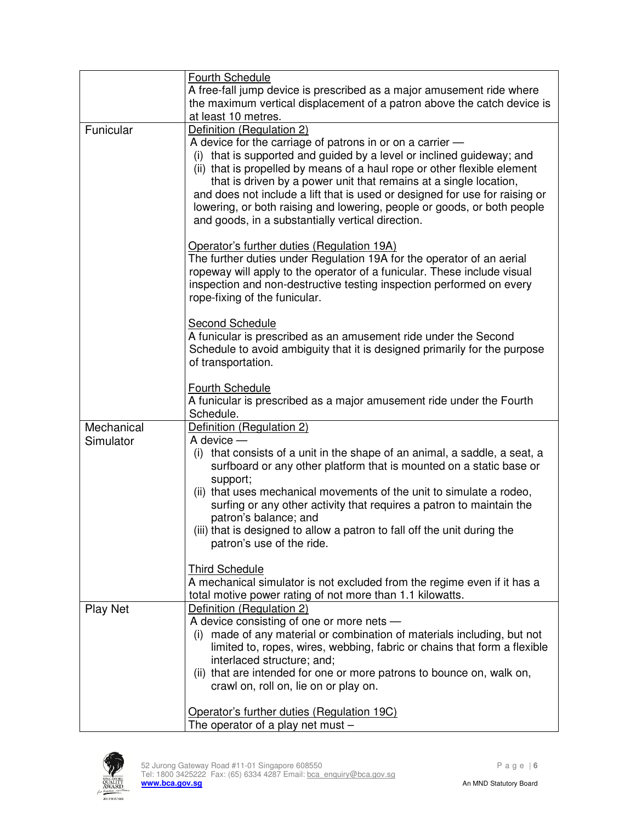|                 | <b>Fourth Schedule</b><br>A free-fall jump device is prescribed as a major amusement ride where<br>the maximum vertical displacement of a patron above the catch device is                                                                                                                                                                                                                                                                                                                                                      |
|-----------------|---------------------------------------------------------------------------------------------------------------------------------------------------------------------------------------------------------------------------------------------------------------------------------------------------------------------------------------------------------------------------------------------------------------------------------------------------------------------------------------------------------------------------------|
|                 | at least 10 metres.                                                                                                                                                                                                                                                                                                                                                                                                                                                                                                             |
| Funicular       | Definition (Regulation 2)<br>A device for the carriage of patrons in or on a carrier -<br>(i) that is supported and guided by a level or inclined guideway; and<br>(ii) that is propelled by means of a haul rope or other flexible element<br>that is driven by a power unit that remains at a single location,<br>and does not include a lift that is used or designed for use for raising or<br>lowering, or both raising and lowering, people or goods, or both people<br>and goods, in a substantially vertical direction. |
|                 | Operator's further duties (Regulation 19A)<br>The further duties under Regulation 19A for the operator of an aerial<br>ropeway will apply to the operator of a funicular. These include visual<br>inspection and non-destructive testing inspection performed on every<br>rope-fixing of the funicular.                                                                                                                                                                                                                         |
|                 | <b>Second Schedule</b><br>A funicular is prescribed as an amusement ride under the Second<br>Schedule to avoid ambiguity that it is designed primarily for the purpose<br>of transportation.                                                                                                                                                                                                                                                                                                                                    |
|                 | <b>Fourth Schedule</b><br>A funicular is prescribed as a major amusement ride under the Fourth<br>Schedule.                                                                                                                                                                                                                                                                                                                                                                                                                     |
| Mechanical      | Definition (Regulation 2)                                                                                                                                                                                                                                                                                                                                                                                                                                                                                                       |
| Simulator       | $A$ device $-$                                                                                                                                                                                                                                                                                                                                                                                                                                                                                                                  |
|                 | (i) that consists of a unit in the shape of an animal, a saddle, a seat, a<br>surfboard or any other platform that is mounted on a static base or<br>support;                                                                                                                                                                                                                                                                                                                                                                   |
|                 | (ii) that uses mechanical movements of the unit to simulate a rodeo,<br>surfing or any other activity that requires a patron to maintain the<br>patron's balance; and                                                                                                                                                                                                                                                                                                                                                           |
|                 | (iii) that is designed to allow a patron to fall off the unit during the<br>patron's use of the ride.                                                                                                                                                                                                                                                                                                                                                                                                                           |
|                 | <b>Third Schedule</b><br>A mechanical simulator is not excluded from the regime even if it has a<br>total motive power rating of not more than 1.1 kilowatts.                                                                                                                                                                                                                                                                                                                                                                   |
| <b>Play Net</b> | Definition (Regulation 2)                                                                                                                                                                                                                                                                                                                                                                                                                                                                                                       |
|                 | A device consisting of one or more nets -<br>(i) made of any material or combination of materials including, but not<br>limited to, ropes, wires, webbing, fabric or chains that form a flexible<br>interlaced structure; and;<br>(ii) that are intended for one or more patrons to bounce on, walk on,                                                                                                                                                                                                                         |
|                 | crawl on, roll on, lie on or play on.                                                                                                                                                                                                                                                                                                                                                                                                                                                                                           |
|                 | Operator's further duties (Regulation 19C)<br>The operator of a play net must $-$                                                                                                                                                                                                                                                                                                                                                                                                                                               |

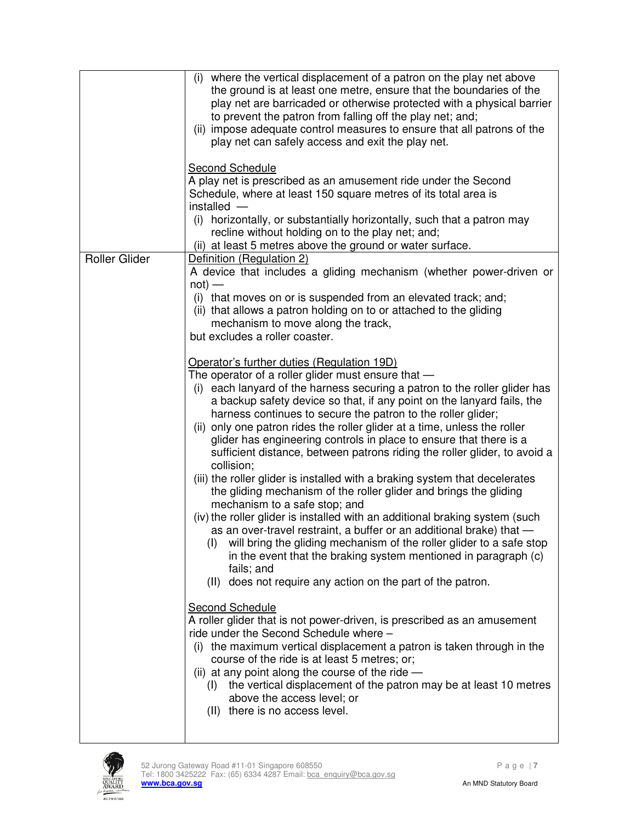|                      | (i) where the vertical displacement of a patron on the play net above<br>the ground is at least one metre, ensure that the boundaries of the<br>play net are barricaded or otherwise protected with a physical barrier<br>to prevent the patron from falling off the play net; and;<br>(ii) impose adequate control measures to ensure that all patrons of the<br>play net can safely access and exit the play net.                                                                                                                                                                                                                                                                                                                                                                                                                                                                                                                                                                                                                                                                                                                               |
|----------------------|---------------------------------------------------------------------------------------------------------------------------------------------------------------------------------------------------------------------------------------------------------------------------------------------------------------------------------------------------------------------------------------------------------------------------------------------------------------------------------------------------------------------------------------------------------------------------------------------------------------------------------------------------------------------------------------------------------------------------------------------------------------------------------------------------------------------------------------------------------------------------------------------------------------------------------------------------------------------------------------------------------------------------------------------------------------------------------------------------------------------------------------------------|
|                      | <b>Second Schedule</b><br>A play net is prescribed as an amusement ride under the Second<br>Schedule, where at least 150 square metres of its total area is<br>installed -                                                                                                                                                                                                                                                                                                                                                                                                                                                                                                                                                                                                                                                                                                                                                                                                                                                                                                                                                                        |
|                      | (i) horizontally, or substantially horizontally, such that a patron may<br>recline without holding on to the play net; and;<br>(ii) at least 5 metres above the ground or water surface.                                                                                                                                                                                                                                                                                                                                                                                                                                                                                                                                                                                                                                                                                                                                                                                                                                                                                                                                                          |
| <b>Roller Glider</b> | Definition (Regulation 2)                                                                                                                                                                                                                                                                                                                                                                                                                                                                                                                                                                                                                                                                                                                                                                                                                                                                                                                                                                                                                                                                                                                         |
|                      | A device that includes a gliding mechanism (whether power-driven or<br>$not)$ —                                                                                                                                                                                                                                                                                                                                                                                                                                                                                                                                                                                                                                                                                                                                                                                                                                                                                                                                                                                                                                                                   |
|                      | (i) that moves on or is suspended from an elevated track; and;<br>(ii) that allows a patron holding on to or attached to the gliding<br>mechanism to move along the track,<br>but excludes a roller coaster.                                                                                                                                                                                                                                                                                                                                                                                                                                                                                                                                                                                                                                                                                                                                                                                                                                                                                                                                      |
|                      | Operator's further duties (Regulation 19D)<br>The operator of a roller glider must ensure that -<br>(i) each lanyard of the harness securing a patron to the roller glider has<br>a backup safety device so that, if any point on the lanyard fails, the<br>harness continues to secure the patron to the roller glider;<br>(ii) only one patron rides the roller glider at a time, unless the roller<br>glider has engineering controls in place to ensure that there is a<br>sufficient distance, between patrons riding the roller glider, to avoid a<br>collision;<br>(iii) the roller glider is installed with a braking system that decelerates<br>the gliding mechanism of the roller glider and brings the gliding<br>mechanism to a safe stop; and<br>(iv) the roller glider is installed with an additional braking system (such<br>as an over-travel restraint, a buffer or an additional brake) that -<br>will bring the gliding mechanism of the roller glider to a safe stop<br>(1)<br>in the event that the braking system mentioned in paragraph (c)<br>fails; and<br>(II) does not require any action on the part of the patron. |
|                      | <b>Second Schedule</b><br>A roller glider that is not power-driven, is prescribed as an amusement<br>ride under the Second Schedule where -<br>(i) the maximum vertical displacement a patron is taken through in the<br>course of the ride is at least 5 metres; or;<br>(ii) at any point along the course of the ride $-$<br>(I) the vertical displacement of the patron may be at least 10 metres<br>above the access level; or<br>(II) there is no access level.                                                                                                                                                                                                                                                                                                                                                                                                                                                                                                                                                                                                                                                                              |
|                      |                                                                                                                                                                                                                                                                                                                                                                                                                                                                                                                                                                                                                                                                                                                                                                                                                                                                                                                                                                                                                                                                                                                                                   |